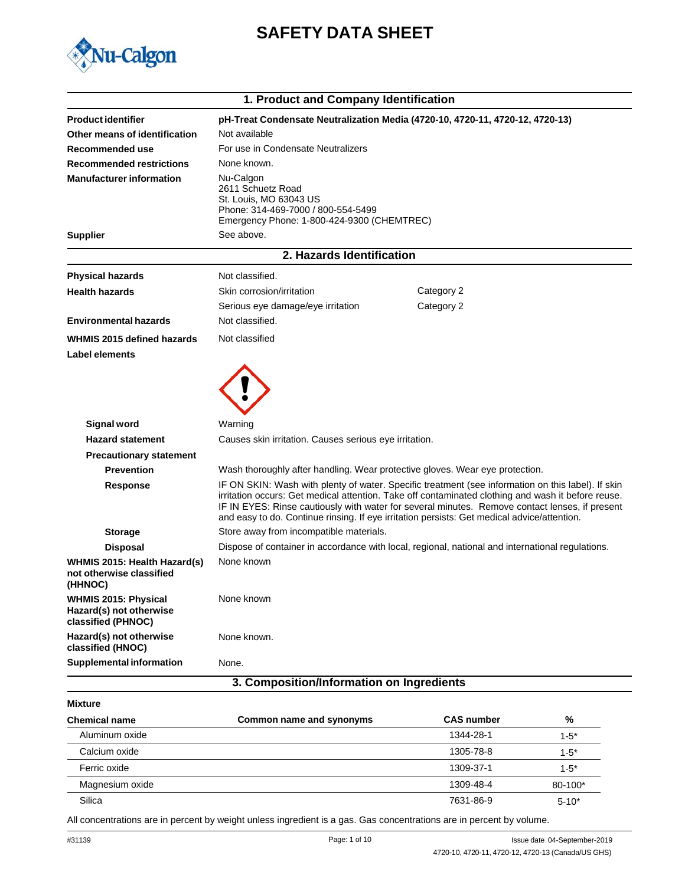

# **SAFETY DATA SHEET**

|                                                                              | 1. Product and Company Identification                                                                                                                                                                                                                                                                                                                                                                     |                                                                                                  |
|------------------------------------------------------------------------------|-----------------------------------------------------------------------------------------------------------------------------------------------------------------------------------------------------------------------------------------------------------------------------------------------------------------------------------------------------------------------------------------------------------|--------------------------------------------------------------------------------------------------|
| <b>Product identifier</b>                                                    |                                                                                                                                                                                                                                                                                                                                                                                                           | pH-Treat Condensate Neutralization Media (4720-10, 4720-11, 4720-12, 4720-13)                    |
| Other means of identification                                                | Not available                                                                                                                                                                                                                                                                                                                                                                                             |                                                                                                  |
| Recommended use                                                              | For use in Condensate Neutralizers                                                                                                                                                                                                                                                                                                                                                                        |                                                                                                  |
| <b>Recommended restrictions</b>                                              | None known.                                                                                                                                                                                                                                                                                                                                                                                               |                                                                                                  |
| <b>Manufacturer information</b>                                              | Nu-Calgon<br>2611 Schuetz Road<br>St. Louis, MO 63043 US<br>Phone: 314-469-7000 / 800-554-5499<br>Emergency Phone: 1-800-424-9300 (CHEMTREC)                                                                                                                                                                                                                                                              |                                                                                                  |
| <b>Supplier</b>                                                              | See above.                                                                                                                                                                                                                                                                                                                                                                                                |                                                                                                  |
|                                                                              | 2. Hazards Identification                                                                                                                                                                                                                                                                                                                                                                                 |                                                                                                  |
| <b>Physical hazards</b>                                                      | Not classified.                                                                                                                                                                                                                                                                                                                                                                                           |                                                                                                  |
| <b>Health hazards</b>                                                        | Skin corrosion/irritation                                                                                                                                                                                                                                                                                                                                                                                 | Category 2                                                                                       |
|                                                                              | Serious eye damage/eye irritation                                                                                                                                                                                                                                                                                                                                                                         | Category 2                                                                                       |
| <b>Environmental hazards</b>                                                 | Not classified.                                                                                                                                                                                                                                                                                                                                                                                           |                                                                                                  |
| WHMIS 2015 defined hazards                                                   | Not classified                                                                                                                                                                                                                                                                                                                                                                                            |                                                                                                  |
| Label elements                                                               |                                                                                                                                                                                                                                                                                                                                                                                                           |                                                                                                  |
| <b>Signal word</b>                                                           | Warning                                                                                                                                                                                                                                                                                                                                                                                                   |                                                                                                  |
| <b>Hazard statement</b>                                                      | Causes skin irritation. Causes serious eye irritation.                                                                                                                                                                                                                                                                                                                                                    |                                                                                                  |
| <b>Precautionary statement</b>                                               |                                                                                                                                                                                                                                                                                                                                                                                                           |                                                                                                  |
| <b>Prevention</b>                                                            | Wash thoroughly after handling. Wear protective gloves. Wear eye protection.                                                                                                                                                                                                                                                                                                                              |                                                                                                  |
| <b>Response</b>                                                              | IF ON SKIN: Wash with plenty of water. Specific treatment (see information on this label). If skin<br>irritation occurs: Get medical attention. Take off contaminated clothing and wash it before reuse.<br>IF IN EYES: Rinse cautiously with water for several minutes. Remove contact lenses, if present<br>and easy to do. Continue rinsing. If eye irritation persists: Get medical advice/attention. |                                                                                                  |
| <b>Storage</b>                                                               | Store away from incompatible materials.                                                                                                                                                                                                                                                                                                                                                                   |                                                                                                  |
| <b>Disposal</b>                                                              |                                                                                                                                                                                                                                                                                                                                                                                                           | Dispose of container in accordance with local, regional, national and international regulations. |
| WHMIS 2015: Health Hazard(s)<br>not otherwise classified<br>(HHNOC)          | None known                                                                                                                                                                                                                                                                                                                                                                                                |                                                                                                  |
| <b>WHMIS 2015: Physical</b><br>Hazard(s) not otherwise<br>classified (PHNOC) | None known                                                                                                                                                                                                                                                                                                                                                                                                |                                                                                                  |
| Hazard(s) not otherwise<br>classified (HNOC)                                 | None known.                                                                                                                                                                                                                                                                                                                                                                                               |                                                                                                  |
| <b>Supplemental information</b>                                              | None.                                                                                                                                                                                                                                                                                                                                                                                                     |                                                                                                  |
|                                                                              | 3. Composition/Information on Ingredients                                                                                                                                                                                                                                                                                                                                                                 |                                                                                                  |

| <b>Mixture</b> |  |
|----------------|--|
|----------------|--|

| <b>Chemical name</b> | Common name and synonyms | <b>CAS number</b> | $\frac{0}{0}$ |
|----------------------|--------------------------|-------------------|---------------|
| Aluminum oxide       |                          | 1344-28-1         | $1 - 5^*$     |
| Calcium oxide        |                          | 1305-78-8         | $1 - 5^*$     |
| Ferric oxide         |                          | 1309-37-1         | $1 - 5^*$     |
| Magnesium oxide      |                          | 1309-48-4         | 80-100*       |
| Silica               |                          | 7631-86-9         | $5 - 10^*$    |
|                      |                          |                   |               |

All concentrations are in percent by weight unless ingredient is a gas. Gas concentrations are in percent by volume.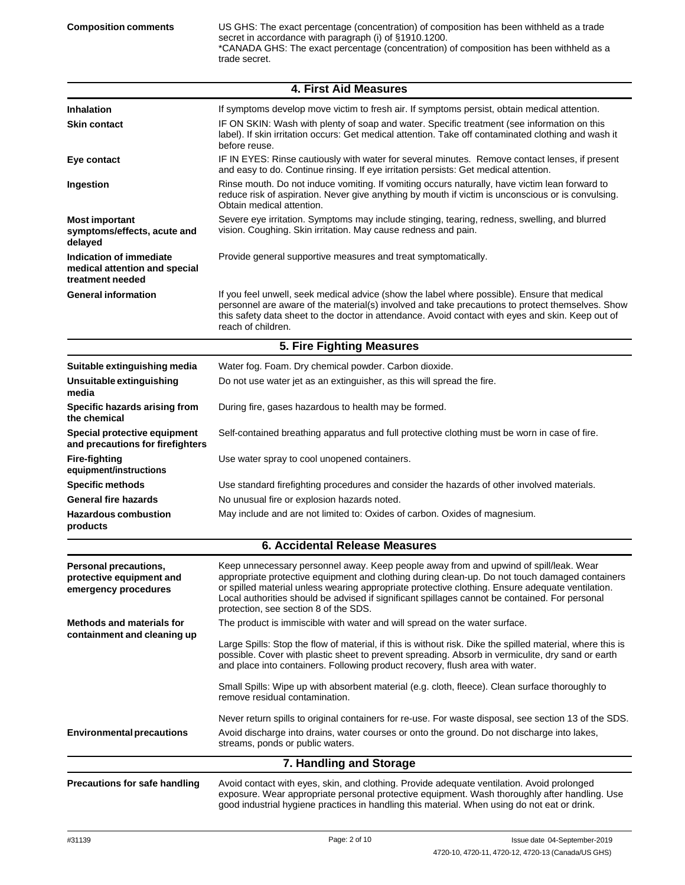US GHS: The exact percentage (concentration) of composition has been withheld as a trade secret in accordance with paragraph (i) of §1910.1200. \*CANADA GHS: The exact percentage (concentration) of composition has been withheld as a trade secret.

|                                                                              | <b>4. First Aid Measures</b>                                                                                                                                                                                                                                                                                                                                                                                                           |  |
|------------------------------------------------------------------------------|----------------------------------------------------------------------------------------------------------------------------------------------------------------------------------------------------------------------------------------------------------------------------------------------------------------------------------------------------------------------------------------------------------------------------------------|--|
| <b>Inhalation</b>                                                            | If symptoms develop move victim to fresh air. If symptoms persist, obtain medical attention.                                                                                                                                                                                                                                                                                                                                           |  |
| <b>Skin contact</b>                                                          | IF ON SKIN: Wash with plenty of soap and water. Specific treatment (see information on this<br>label). If skin irritation occurs: Get medical attention. Take off contaminated clothing and wash it<br>before reuse.                                                                                                                                                                                                                   |  |
| Eye contact                                                                  | IF IN EYES: Rinse cautiously with water for several minutes. Remove contact lenses, if present<br>and easy to do. Continue rinsing. If eye irritation persists: Get medical attention.                                                                                                                                                                                                                                                 |  |
| Ingestion                                                                    | Rinse mouth. Do not induce vomiting. If vomiting occurs naturally, have victim lean forward to<br>reduce risk of aspiration. Never give anything by mouth if victim is unconscious or is convulsing.<br>Obtain medical attention.                                                                                                                                                                                                      |  |
| <b>Most important</b><br>symptoms/effects, acute and<br>delayed              | Severe eye irritation. Symptoms may include stinging, tearing, redness, swelling, and blurred<br>vision. Coughing. Skin irritation. May cause redness and pain.                                                                                                                                                                                                                                                                        |  |
| Indication of immediate<br>medical attention and special<br>treatment needed | Provide general supportive measures and treat symptomatically.                                                                                                                                                                                                                                                                                                                                                                         |  |
| <b>General information</b>                                                   | If you feel unwell, seek medical advice (show the label where possible). Ensure that medical<br>personnel are aware of the material(s) involved and take precautions to protect themselves. Show<br>this safety data sheet to the doctor in attendance. Avoid contact with eyes and skin. Keep out of<br>reach of children.                                                                                                            |  |
|                                                                              | 5. Fire Fighting Measures                                                                                                                                                                                                                                                                                                                                                                                                              |  |
| Suitable extinguishing media                                                 | Water fog. Foam. Dry chemical powder. Carbon dioxide.                                                                                                                                                                                                                                                                                                                                                                                  |  |
| Unsuitable extinguishing<br>media                                            | Do not use water jet as an extinguisher, as this will spread the fire.                                                                                                                                                                                                                                                                                                                                                                 |  |
| Specific hazards arising from<br>the chemical                                | During fire, gases hazardous to health may be formed.                                                                                                                                                                                                                                                                                                                                                                                  |  |
| Special protective equipment<br>and precautions for firefighters             | Self-contained breathing apparatus and full protective clothing must be worn in case of fire.                                                                                                                                                                                                                                                                                                                                          |  |
| <b>Fire-fighting</b><br>equipment/instructions                               | Use water spray to cool unopened containers.                                                                                                                                                                                                                                                                                                                                                                                           |  |
| <b>Specific methods</b>                                                      | Use standard firefighting procedures and consider the hazards of other involved materials.                                                                                                                                                                                                                                                                                                                                             |  |
| <b>General fire hazards</b>                                                  | No unusual fire or explosion hazards noted.                                                                                                                                                                                                                                                                                                                                                                                            |  |
| <b>Hazardous combustion</b><br>products                                      | May include and are not limited to: Oxides of carbon. Oxides of magnesium.                                                                                                                                                                                                                                                                                                                                                             |  |
|                                                                              | <b>6. Accidental Release Measures</b>                                                                                                                                                                                                                                                                                                                                                                                                  |  |
| Personal precautions,<br>protective equipment and<br>emergency procedures    | Keep unnecessary personnel away. Keep people away from and upwind of spill/leak. Wear<br>appropriate protective equipment and clothing during clean-up. Do not touch damaged containers<br>or spilled material unless wearing appropriate protective clothing. Ensure adequate ventilation.<br>Local authorities should be advised if significant spillages cannot be contained. For personal<br>protection, see section 8 of the SDS. |  |
| <b>Methods and materials for</b>                                             | The product is immiscible with water and will spread on the water surface.                                                                                                                                                                                                                                                                                                                                                             |  |
| containment and cleaning up                                                  | Large Spills: Stop the flow of material, if this is without risk. Dike the spilled material, where this is<br>possible. Cover with plastic sheet to prevent spreading. Absorb in vermiculite, dry sand or earth<br>and place into containers. Following product recovery, flush area with water.                                                                                                                                       |  |
|                                                                              | Small Spills: Wipe up with absorbent material (e.g. cloth, fleece). Clean surface thoroughly to<br>remove residual contamination.                                                                                                                                                                                                                                                                                                      |  |
| <b>Environmental precautions</b>                                             | Never return spills to original containers for re-use. For waste disposal, see section 13 of the SDS.<br>Avoid discharge into drains, water courses or onto the ground. Do not discharge into lakes,<br>streams, ponds or public waters.                                                                                                                                                                                               |  |
|                                                                              | 7. Handling and Storage                                                                                                                                                                                                                                                                                                                                                                                                                |  |
| <b>Precautions for safe handling</b>                                         | Avoid contact with eyes, skin, and clothing. Provide adequate ventilation. Avoid prolonged<br>exposure. Wear appropriate personal protective equipment. Wash thoroughly after handling. Use<br>good industrial hygiene practices in handling this material. When using do not eat or drink.                                                                                                                                            |  |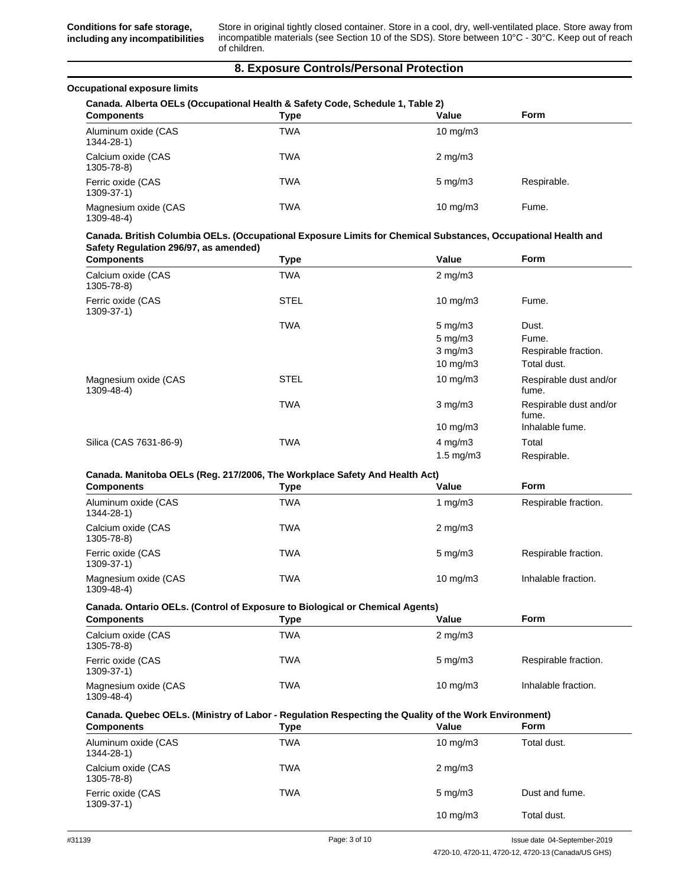**Conditions for safe storage, including any incompatibilities**

Store in original tightly closed container. Store in a cool, dry, well-ventilated place. Store away from incompatible materials (see Section 10 of the SDS). Store between 10°C - 30°C. Keep out of reach of children.

### **8. Exposure Controls/Personal Protection**

### **Occupational exposure limits**

| Canada. Alberta OELs (Occupational Health & Safety Code, Schedule 1, Table 2) |            |                   |             |
|-------------------------------------------------------------------------------|------------|-------------------|-------------|
| <b>Components</b>                                                             | Type       | Value             | <b>Form</b> |
| Aluminum oxide (CAS<br>1344-28-1)                                             | <b>TWA</b> | $10 \text{ mg/m}$ |             |
| Calcium oxide (CAS<br>1305-78-8)                                              | <b>TWA</b> | $2 \text{ mg/m}$  |             |
| Ferric oxide (CAS<br>$1309 - 37 - 1$                                          | <b>TWA</b> | $5 \text{ mg/m}$  | Respirable. |
| Magnesium oxide (CAS<br>1309-48-4)                                            | <b>TWA</b> | $10 \text{ mg/m}$ | Fume.       |

### **Canada. British Columbia OELs. (Occupational Exposure Limits for Chemical Substances, Occupational Health and Safety Regulation 296/97, as amended)**

| <b>Components</b>                    | <b>Type</b> | Value              | <b>Form</b>                     |
|--------------------------------------|-------------|--------------------|---------------------------------|
| Calcium oxide (CAS<br>1305-78-8)     | <b>TWA</b>  | $2 \text{ mg/m}$   |                                 |
| Ferric oxide (CAS<br>$1309 - 37 - 1$ | <b>STEL</b> | $10 \text{ mg/m}$  | Fume.                           |
|                                      | <b>TWA</b>  | $5 \text{ mg/m}$ 3 | Dust.                           |
|                                      |             | $5 \text{ mg/m}$ 3 | Fume.                           |
|                                      |             | $3$ mg/m $3$       | Respirable fraction.            |
|                                      |             | $10 \text{ mg/m}$  | Total dust.                     |
| Magnesium oxide (CAS<br>1309-48-4)   | <b>STEL</b> | $10 \text{ mg/m}$  | Respirable dust and/or<br>fume. |
|                                      | <b>TWA</b>  | $3 \text{ mg/m}$   | Respirable dust and/or<br>fume. |
|                                      |             | $10 \text{ mg/m}$  | Inhalable fume.                 |
| Silica (CAS 7631-86-9)               | <b>TWA</b>  | $4 \text{ mg/m}$ 3 | Total                           |
|                                      |             | $1.5 \text{ mg/m}$ | Respirable.                     |

### **Canada. Manitoba OELs (Reg. 217/2006, The Workplace Safety And Health Act)**

| <b>Components</b>                  | Type | Value             | <b>Form</b>          |
|------------------------------------|------|-------------------|----------------------|
| Aluminum oxide (CAS<br>1344-28-1)  | TWA  | 1 $mq/m3$         | Respirable fraction. |
| Calcium oxide (CAS<br>1305-78-8)   | TWA  | $2 \text{ mg/m}$  |                      |
| Ferric oxide (CAS<br>1309-37-1)    | TWA  | $5 \text{ mg/m}$  | Respirable fraction. |
| Magnesium oxide (CAS<br>1309-48-4) | TWA  | $10 \text{ mg/m}$ | Inhalable fraction.  |

### **Canada. Ontario OELs. (Control of Exposure to Biological or Chemical Agents)**

| <b>Components</b>                    | Type | Value             | <b>Form</b>          |
|--------------------------------------|------|-------------------|----------------------|
| Calcium oxide (CAS<br>1305-78-8)     | TWA  | $2 \text{ mg/m}$  |                      |
| Ferric oxide (CAS<br>$1309 - 37 - 1$ | TWA  | $5 \text{ mg/m}$  | Respirable fraction. |
| Magnesium oxide (CAS<br>1309-48-4)   | TWA  | $10 \text{ mg/m}$ | Inhalable fraction.  |

### **Canada. Quebec OELs. (Ministry of Labor - Regulation Respecting the Quality of the Work Environment)**

| <b>Components</b>                      | Type       | Value             | <b>Form</b>    |
|----------------------------------------|------------|-------------------|----------------|
| Aluminum oxide (CAS<br>$1344 - 28 - 1$ | TWA        | $10 \text{ mg/m}$ | Total dust.    |
| Calcium oxide (CAS<br>1305-78-8)       | <b>TWA</b> | $2 \text{ mg/m}$  |                |
| Ferric oxide (CAS<br>$1309 - 37 - 1$   | TWA        | $5 \text{ mg/m}$  | Dust and fume. |
|                                        |            | $10 \text{ mg/m}$ | Total dust.    |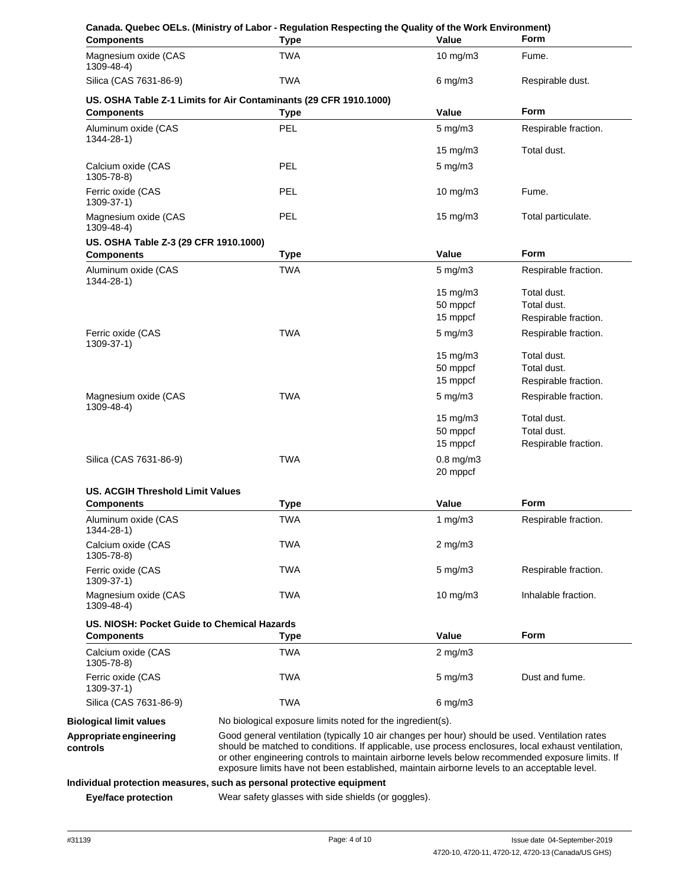| <b>Components</b>                                                | Canada. Quebec OELs. (Ministry of Labor - Regulation Respecting the Quality of the Work Environment)<br><b>Type</b>                                                                                                                                                                                  | Value                      | <b>Form</b>          |
|------------------------------------------------------------------|------------------------------------------------------------------------------------------------------------------------------------------------------------------------------------------------------------------------------------------------------------------------------------------------------|----------------------------|----------------------|
| Magnesium oxide (CAS<br>1309-48-4)                               | <b>TWA</b>                                                                                                                                                                                                                                                                                           | $10$ mg/m $3$              | Fume.                |
| Silica (CAS 7631-86-9)                                           | <b>TWA</b>                                                                                                                                                                                                                                                                                           | $6$ mg/m $3$               | Respirable dust.     |
|                                                                  | US. OSHA Table Z-1 Limits for Air Contaminants (29 CFR 1910.1000)                                                                                                                                                                                                                                    |                            |                      |
| <b>Components</b>                                                | <b>Type</b>                                                                                                                                                                                                                                                                                          | Value                      | <b>Form</b>          |
| Aluminum oxide (CAS<br>$1344 - 28 - 1$                           | <b>PEL</b>                                                                                                                                                                                                                                                                                           | $5$ mg/m $3$               | Respirable fraction. |
|                                                                  |                                                                                                                                                                                                                                                                                                      | 15 mg/m3                   | Total dust.          |
| Calcium oxide (CAS<br>1305-78-8)                                 | <b>PEL</b>                                                                                                                                                                                                                                                                                           | $5 \text{ mg/m}$ 3         |                      |
| Ferric oxide (CAS<br>1309-37-1)                                  | <b>PEL</b>                                                                                                                                                                                                                                                                                           | $10$ mg/m $3$              | Fume.                |
| Magnesium oxide (CAS<br>1309-48-4)                               | <b>PEL</b>                                                                                                                                                                                                                                                                                           | $15 \text{ mg/m}$          | Total particulate.   |
| US. OSHA Table Z-3 (29 CFR 1910.1000)                            |                                                                                                                                                                                                                                                                                                      |                            |                      |
| <b>Components</b>                                                | <b>Type</b>                                                                                                                                                                                                                                                                                          | Value                      | <b>Form</b>          |
| Aluminum oxide (CAS<br>1344-28-1)                                | TWA                                                                                                                                                                                                                                                                                                  | $5 \text{ mg/m}$           | Respirable fraction. |
|                                                                  |                                                                                                                                                                                                                                                                                                      | $15 \text{ mg/m}$          | Total dust.          |
|                                                                  |                                                                                                                                                                                                                                                                                                      | 50 mppcf                   | Total dust.          |
|                                                                  |                                                                                                                                                                                                                                                                                                      | 15 mppcf                   | Respirable fraction. |
| Ferric oxide (CAS<br>1309-37-1)                                  | <b>TWA</b>                                                                                                                                                                                                                                                                                           | $5 \text{ mg/m}$ 3         | Respirable fraction. |
|                                                                  |                                                                                                                                                                                                                                                                                                      | $15 \text{ mg/m}$ 3        | Total dust.          |
|                                                                  |                                                                                                                                                                                                                                                                                                      | 50 mppcf                   | Total dust.          |
|                                                                  |                                                                                                                                                                                                                                                                                                      | 15 mppcf                   | Respirable fraction. |
| Magnesium oxide (CAS<br>1309-48-4)                               | TWA                                                                                                                                                                                                                                                                                                  | $5 \text{ mg/m}$ 3         | Respirable fraction. |
|                                                                  |                                                                                                                                                                                                                                                                                                      | 15 mg/m3                   | Total dust.          |
|                                                                  |                                                                                                                                                                                                                                                                                                      | 50 mppcf                   | Total dust.          |
|                                                                  |                                                                                                                                                                                                                                                                                                      | 15 mppcf                   | Respirable fraction. |
| Silica (CAS 7631-86-9)                                           | TWA                                                                                                                                                                                                                                                                                                  | $0.8$ mg/m $3$<br>20 mppcf |                      |
| <b>US. ACGIH Threshold Limit Values</b>                          |                                                                                                                                                                                                                                                                                                      |                            |                      |
| <b>Components</b>                                                | <b>Type</b>                                                                                                                                                                                                                                                                                          | Value                      | Form                 |
| Aluminum oxide (CAS<br>1344-28-1)                                | <b>TWA</b>                                                                                                                                                                                                                                                                                           | 1 $mq/m3$                  | Respirable fraction. |
| Calcium oxide (CAS<br>1305-78-8)                                 | TWA                                                                                                                                                                                                                                                                                                  | $2$ mg/m $3$               |                      |
| Ferric oxide (CAS<br>1309-37-1)                                  | TWA                                                                                                                                                                                                                                                                                                  | $5 \text{ mg/m}$ 3         | Respirable fraction. |
| Magnesium oxide (CAS<br>1309-48-4)                               | <b>TWA</b>                                                                                                                                                                                                                                                                                           | $10 \text{ mg/m}$          | Inhalable fraction.  |
| US. NIOSH: Pocket Guide to Chemical Hazards<br><b>Components</b> | Type                                                                                                                                                                                                                                                                                                 | Value                      | Form                 |
| Calcium oxide (CAS<br>1305-78-8)                                 | TWA                                                                                                                                                                                                                                                                                                  | $2$ mg/m $3$               |                      |
| Ferric oxide (CAS<br>1309-37-1)                                  | <b>TWA</b>                                                                                                                                                                                                                                                                                           | $5 \text{ mg/m}$ 3         | Dust and fume.       |
| Silica (CAS 7631-86-9)                                           | <b>TWA</b>                                                                                                                                                                                                                                                                                           | $6$ mg/m $3$               |                      |
| <b>Biological limit values</b>                                   | No biological exposure limits noted for the ingredient(s).                                                                                                                                                                                                                                           |                            |                      |
| Appropriate engineering                                          | Good general ventilation (typically 10 air changes per hour) should be used. Ventilation rates                                                                                                                                                                                                       |                            |                      |
| controls                                                         | should be matched to conditions. If applicable, use process enclosures, local exhaust ventilation,<br>or other engineering controls to maintain airborne levels below recommended exposure limits. If<br>exposure limits have not been established, maintain airborne levels to an acceptable level. |                            |                      |
|                                                                  | Individual protection measures, such as personal protective equipment                                                                                                                                                                                                                                |                            |                      |
| Eye/face protection                                              | Wear safety glasses with side shields (or goggles).                                                                                                                                                                                                                                                  |                            |                      |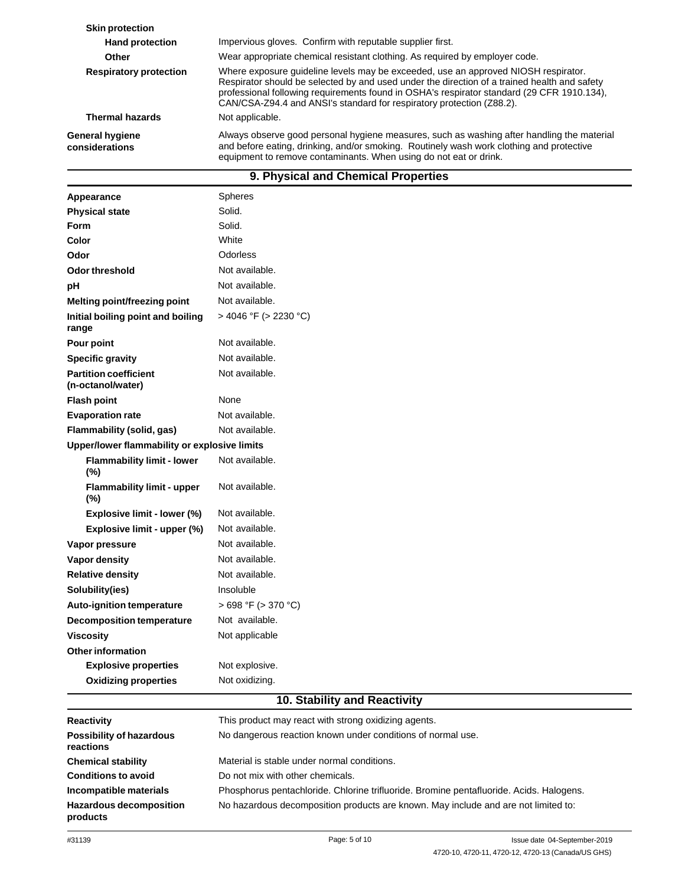| <b>Skin protection</b>            |                                                                                                                                                                                                                                                                                                                                                           |
|-----------------------------------|-----------------------------------------------------------------------------------------------------------------------------------------------------------------------------------------------------------------------------------------------------------------------------------------------------------------------------------------------------------|
| <b>Hand protection</b>            | Impervious gloves. Confirm with reputable supplier first.                                                                                                                                                                                                                                                                                                 |
| Other                             | Wear appropriate chemical resistant clothing. As required by employer code.                                                                                                                                                                                                                                                                               |
| <b>Respiratory protection</b>     | Where exposure guideline levels may be exceeded, use an approved NIOSH respirator.<br>Respirator should be selected by and used under the direction of a trained health and safety<br>professional following requirements found in OSHA's respirator standard (29 CFR 1910.134),<br>CAN/CSA-Z94.4 and ANSI's standard for respiratory protection (Z88.2). |
| <b>Thermal hazards</b>            | Not applicable.                                                                                                                                                                                                                                                                                                                                           |
| General hygiene<br>considerations | Always observe good personal hygiene measures, such as washing after handling the material<br>and before eating, drinking, and/or smoking. Routinely wash work clothing and protective<br>equipment to remove contaminants. When using do not eat or drink.                                                                                               |

# **9. Physical and Chemical Properties**

| Appearance                                        | <b>Spheres</b>             |
|---------------------------------------------------|----------------------------|
| <b>Physical state</b>                             | Solid.                     |
| <b>Form</b>                                       | Solid.                     |
| Color                                             | White                      |
| Odor                                              | Odorless                   |
| <b>Odor threshold</b>                             | Not available.             |
| pH                                                | Not available.             |
| <b>Melting point/freezing point</b>               | Not available.             |
| Initial boiling point and boiling<br>range        | $>$ 4046 °F ( $>$ 2230 °C) |
| Pour point                                        | Not available.             |
| <b>Specific gravity</b>                           | Not available.             |
| <b>Partition coefficient</b><br>(n-octanol/water) | Not available.             |
| <b>Flash point</b>                                | None                       |
| <b>Evaporation rate</b>                           | Not available.             |
| Flammability (solid, gas)                         | Not available.             |
| Upper/lower flammability or explosive limits      |                            |
| <b>Flammability limit - lower</b><br>(%)          | Not available.             |
| <b>Flammability limit - upper</b><br>(%)          | Not available.             |
| Explosive limit - lower (%)                       | Not available.             |
| Explosive limit - upper (%)                       | Not available.             |
| Vapor pressure                                    | Not available.             |
| Vapor density                                     | Not available.             |
| <b>Relative density</b>                           | Not available.             |
| Solubility(ies)                                   | Insoluble                  |
| Auto-ignition temperature                         | > 698 °F (> 370 °C)        |
| <b>Decomposition temperature</b>                  | Not available.             |
| <b>Viscosity</b>                                  | Not applicable             |
| <b>Other information</b>                          |                            |
| <b>Explosive properties</b>                       | Not explosive.             |
| <b>Oxidizing properties</b>                       | Not oxidizing.             |

## **10. Stability and Reactivity**

| <b>Reactivity</b>                            | This product may react with strong oxidizing agents.                                    |
|----------------------------------------------|-----------------------------------------------------------------------------------------|
| <b>Possibility of hazardous</b><br>reactions | No dangerous reaction known under conditions of normal use.                             |
| <b>Chemical stability</b>                    | Material is stable under normal conditions.                                             |
| <b>Conditions to avoid</b>                   | Do not mix with other chemicals.                                                        |
| Incompatible materials                       | Phosphorus pentachloride. Chlorine trifluoride. Bromine pentafluoride. Acids. Halogens. |
| <b>Hazardous decomposition</b><br>products   | No hazardous decomposition products are known. May include and are not limited to:      |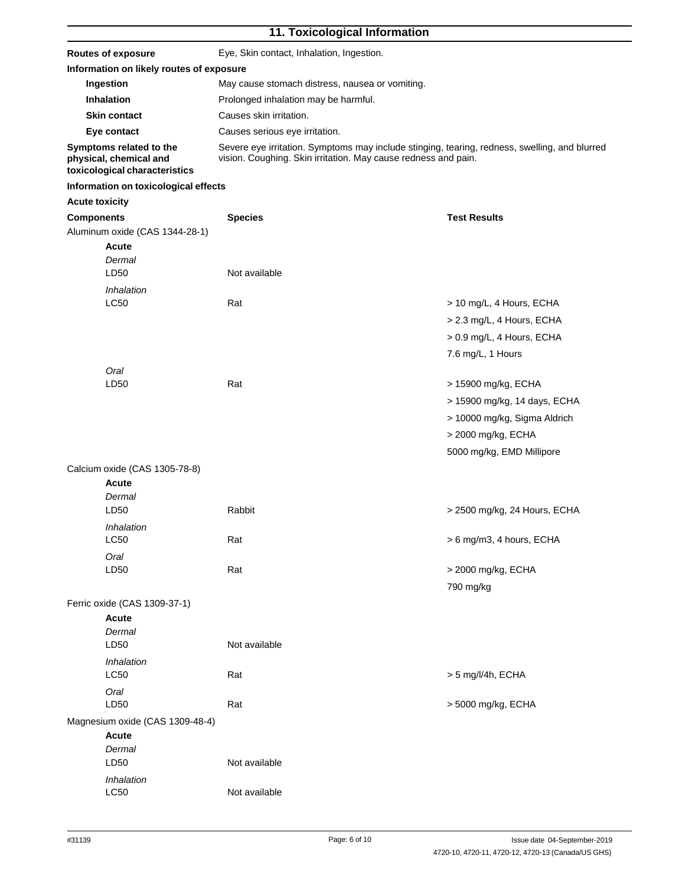# **11. Toxicological Information**

| <b>Routes of exposure</b>                                                          |                                          | Eye, Skin contact, Inhalation, Ingestion.                                                                                                                       |                              |  |
|------------------------------------------------------------------------------------|------------------------------------------|-----------------------------------------------------------------------------------------------------------------------------------------------------------------|------------------------------|--|
|                                                                                    | Information on likely routes of exposure |                                                                                                                                                                 |                              |  |
| Ingestion                                                                          |                                          | May cause stomach distress, nausea or vomiting.                                                                                                                 |                              |  |
| <b>Inhalation</b>                                                                  |                                          | Prolonged inhalation may be harmful.                                                                                                                            |                              |  |
| <b>Skin contact</b>                                                                |                                          | Causes skin irritation.                                                                                                                                         |                              |  |
| Eye contact                                                                        |                                          | Causes serious eye irritation.                                                                                                                                  |                              |  |
| Symptoms related to the<br>physical, chemical and<br>toxicological characteristics |                                          | Severe eye irritation. Symptoms may include stinging, tearing, redness, swelling, and blurred<br>vision. Coughing. Skin irritation. May cause redness and pain. |                              |  |
| Information on toxicological effects                                               |                                          |                                                                                                                                                                 |                              |  |
| <b>Acute toxicity</b>                                                              |                                          |                                                                                                                                                                 |                              |  |
| <b>Components</b>                                                                  | <b>Species</b>                           |                                                                                                                                                                 | <b>Test Results</b>          |  |
| Aluminum oxide (CAS 1344-28-1)                                                     |                                          |                                                                                                                                                                 |                              |  |
| Acute                                                                              |                                          |                                                                                                                                                                 |                              |  |
| Dermal                                                                             |                                          |                                                                                                                                                                 |                              |  |
| LD50                                                                               | Not available                            |                                                                                                                                                                 |                              |  |
| Inhalation                                                                         |                                          |                                                                                                                                                                 |                              |  |
| <b>LC50</b>                                                                        | Rat                                      |                                                                                                                                                                 | > 10 mg/L, 4 Hours, ECHA     |  |
|                                                                                    |                                          |                                                                                                                                                                 | > 2.3 mg/L, 4 Hours, ECHA    |  |
|                                                                                    |                                          |                                                                                                                                                                 | > 0.9 mg/L, 4 Hours, ECHA    |  |
|                                                                                    |                                          |                                                                                                                                                                 | 7.6 mg/L, 1 Hours            |  |
|                                                                                    |                                          |                                                                                                                                                                 |                              |  |
| Oral<br>LD <sub>50</sub>                                                           | Rat                                      |                                                                                                                                                                 | > 15900 mg/kg, ECHA          |  |
|                                                                                    |                                          |                                                                                                                                                                 |                              |  |
|                                                                                    |                                          |                                                                                                                                                                 | > 15900 mg/kg, 14 days, ECHA |  |
|                                                                                    |                                          |                                                                                                                                                                 | > 10000 mg/kg, Sigma Aldrich |  |
|                                                                                    |                                          |                                                                                                                                                                 | > 2000 mg/kg, ECHA           |  |
|                                                                                    |                                          |                                                                                                                                                                 | 5000 mg/kg, EMD Millipore    |  |
| Calcium oxide (CAS 1305-78-8)                                                      |                                          |                                                                                                                                                                 |                              |  |
| <b>Acute</b>                                                                       |                                          |                                                                                                                                                                 |                              |  |
| Dermal                                                                             |                                          |                                                                                                                                                                 |                              |  |
| LD50                                                                               | Rabbit                                   |                                                                                                                                                                 | > 2500 mg/kg, 24 Hours, ECHA |  |
| Inhalation                                                                         |                                          |                                                                                                                                                                 |                              |  |
| LC50                                                                               | Rat                                      |                                                                                                                                                                 | > 6 mg/m3, 4 hours, ECHA     |  |
| Oral                                                                               |                                          |                                                                                                                                                                 |                              |  |
| LD50                                                                               | Rat                                      |                                                                                                                                                                 | > 2000 mg/kg, ECHA           |  |
|                                                                                    |                                          |                                                                                                                                                                 | 790 mg/kg                    |  |
| Ferric oxide (CAS 1309-37-1)                                                       |                                          |                                                                                                                                                                 |                              |  |
| Acute                                                                              |                                          |                                                                                                                                                                 |                              |  |
| Dermal                                                                             |                                          |                                                                                                                                                                 |                              |  |
| LD50                                                                               | Not available                            |                                                                                                                                                                 |                              |  |
| Inhalation                                                                         |                                          |                                                                                                                                                                 |                              |  |
| LC50                                                                               | Rat                                      |                                                                                                                                                                 | > 5 mg/l/4h, ECHA            |  |
| Oral                                                                               |                                          |                                                                                                                                                                 |                              |  |
| LD50                                                                               | Rat                                      |                                                                                                                                                                 | > 5000 mg/kg, ECHA           |  |
| Magnesium oxide (CAS 1309-48-4)                                                    |                                          |                                                                                                                                                                 |                              |  |
| <b>Acute</b>                                                                       |                                          |                                                                                                                                                                 |                              |  |
| Dermal                                                                             |                                          |                                                                                                                                                                 |                              |  |
| LD50                                                                               | Not available                            |                                                                                                                                                                 |                              |  |
| Inhalation                                                                         |                                          |                                                                                                                                                                 |                              |  |
| LC50                                                                               | Not available                            |                                                                                                                                                                 |                              |  |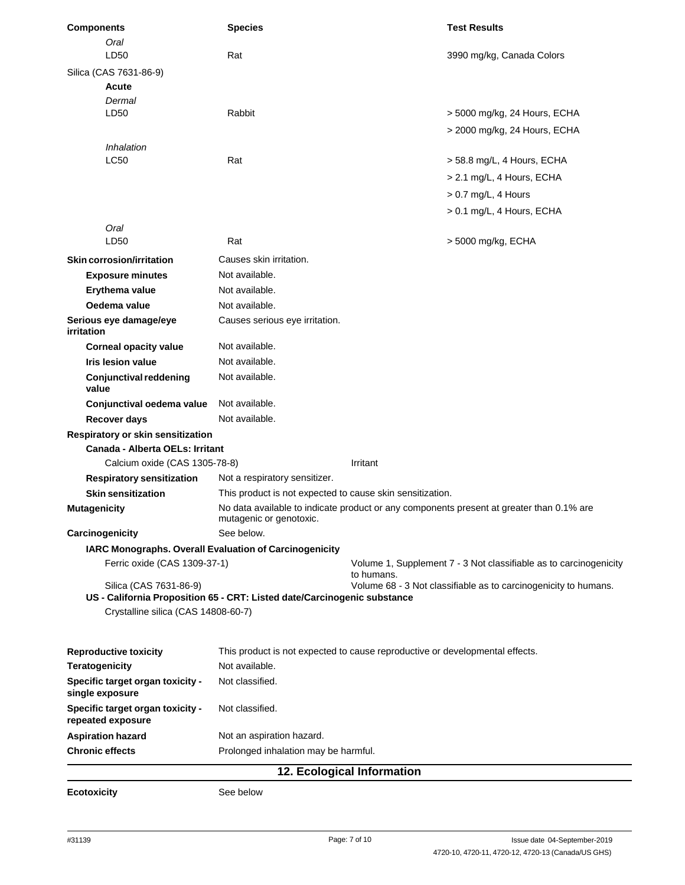| <b>Components</b>                                      | <b>Species</b>                                                                                                      | <b>Test Results</b>                                                             |
|--------------------------------------------------------|---------------------------------------------------------------------------------------------------------------------|---------------------------------------------------------------------------------|
| Oral                                                   |                                                                                                                     |                                                                                 |
| LD50                                                   | Rat                                                                                                                 | 3990 mg/kg, Canada Colors                                                       |
| Silica (CAS 7631-86-9)                                 |                                                                                                                     |                                                                                 |
| Acute                                                  |                                                                                                                     |                                                                                 |
| Dermal                                                 | Rabbit                                                                                                              |                                                                                 |
| LD50                                                   |                                                                                                                     | > 5000 mg/kg, 24 Hours, ECHA                                                    |
|                                                        |                                                                                                                     | > 2000 mg/kg, 24 Hours, ECHA                                                    |
| Inhalation<br><b>LC50</b>                              |                                                                                                                     |                                                                                 |
|                                                        | Rat                                                                                                                 | > 58.8 mg/L, 4 Hours, ECHA                                                      |
|                                                        |                                                                                                                     | > 2.1 mg/L, 4 Hours, ECHA                                                       |
|                                                        |                                                                                                                     | $> 0.7$ mg/L, 4 Hours                                                           |
|                                                        |                                                                                                                     | > 0.1 mg/L, 4 Hours, ECHA                                                       |
| Oral                                                   |                                                                                                                     |                                                                                 |
| LD50                                                   | Rat                                                                                                                 | > 5000 mg/kg, ECHA                                                              |
| Skin corrosion/irritation                              | Causes skin irritation.                                                                                             |                                                                                 |
| <b>Exposure minutes</b>                                | Not available.                                                                                                      |                                                                                 |
| Erythema value                                         | Not available.                                                                                                      |                                                                                 |
| Oedema value                                           | Not available.                                                                                                      |                                                                                 |
| Serious eye damage/eye<br>irritation                   | Causes serious eye irritation.                                                                                      |                                                                                 |
| <b>Corneal opacity value</b>                           | Not available.                                                                                                      |                                                                                 |
| <b>Iris lesion value</b>                               | Not available.                                                                                                      |                                                                                 |
| <b>Conjunctival reddening</b><br>value                 | Not available.                                                                                                      |                                                                                 |
| Conjunctival oedema value                              | Not available.                                                                                                      |                                                                                 |
| Recover days                                           | Not available.                                                                                                      |                                                                                 |
| Respiratory or skin sensitization                      |                                                                                                                     |                                                                                 |
| <b>Canada - Alberta OELs: Irritant</b>                 |                                                                                                                     |                                                                                 |
| Calcium oxide (CAS 1305-78-8)                          |                                                                                                                     | Irritant                                                                        |
| <b>Respiratory sensitization</b>                       | Not a respiratory sensitizer.                                                                                       |                                                                                 |
| <b>Skin sensitization</b>                              | This product is not expected to cause skin sensitization.                                                           |                                                                                 |
| <b>Mutagenicity</b>                                    | No data available to indicate product or any components present at greater than 0.1% are<br>mutagenic or genotoxic. |                                                                                 |
| Carcinogenicity                                        | See below.                                                                                                          |                                                                                 |
| IARC Monographs. Overall Evaluation of Carcinogenicity |                                                                                                                     |                                                                                 |
| Ferric oxide (CAS 1309-37-1)                           |                                                                                                                     | Volume 1, Supplement 7 - 3 Not classifiable as to carcinogenicity<br>to humans. |
| Silica (CAS 7631-86-9)                                 |                                                                                                                     | Volume 68 - 3 Not classifiable as to carcinogenicity to humans.                 |
|                                                        | US - California Proposition 65 - CRT: Listed date/Carcinogenic substance                                            |                                                                                 |
| Crystalline silica (CAS 14808-60-7)                    |                                                                                                                     |                                                                                 |
| <b>Reproductive toxicity</b>                           |                                                                                                                     | This product is not expected to cause reproductive or developmental effects.    |
| <b>Teratogenicity</b>                                  | Not available.                                                                                                      |                                                                                 |
| Specific target organ toxicity -<br>single exposure    | Not classified.                                                                                                     |                                                                                 |
| Specific target organ toxicity -<br>repeated exposure  | Not classified.                                                                                                     |                                                                                 |
| <b>Aspiration hazard</b>                               | Not an aspiration hazard.                                                                                           |                                                                                 |
| <b>Chronic effects</b>                                 | Prolonged inhalation may be harmful.                                                                                |                                                                                 |
|                                                        |                                                                                                                     | 12. Ecological Information                                                      |
|                                                        |                                                                                                                     |                                                                                 |

**Ecotoxicity** See below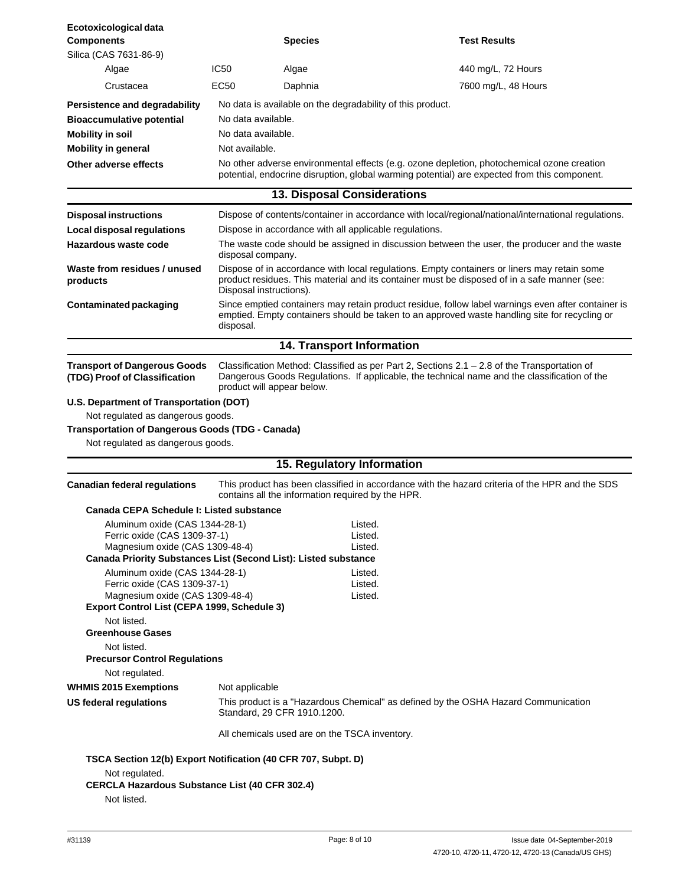| Ecotoxicological data<br><b>Components</b>                                     |                                                                                                                                                                                                                        | <b>Species</b>                                             | <b>Test Results</b>                                                                                                                                                                                 |
|--------------------------------------------------------------------------------|------------------------------------------------------------------------------------------------------------------------------------------------------------------------------------------------------------------------|------------------------------------------------------------|-----------------------------------------------------------------------------------------------------------------------------------------------------------------------------------------------------|
| Silica (CAS 7631-86-9)                                                         |                                                                                                                                                                                                                        |                                                            |                                                                                                                                                                                                     |
| Algae                                                                          | <b>IC50</b>                                                                                                                                                                                                            | Algae                                                      | 440 mg/L, 72 Hours                                                                                                                                                                                  |
| Crustacea                                                                      | EC50                                                                                                                                                                                                                   | Daphnia                                                    | 7600 mg/L, 48 Hours                                                                                                                                                                                 |
|                                                                                |                                                                                                                                                                                                                        |                                                            |                                                                                                                                                                                                     |
| Persistence and degradability                                                  |                                                                                                                                                                                                                        | No data is available on the degradability of this product. |                                                                                                                                                                                                     |
|                                                                                | <b>Bioaccumulative potential</b><br>No data available.                                                                                                                                                                 |                                                            |                                                                                                                                                                                                     |
| <b>Mobility in soil</b>                                                        | No data available.                                                                                                                                                                                                     |                                                            |                                                                                                                                                                                                     |
| <b>Mobility in general</b><br>Other adverse effects                            | Not available.<br>No other adverse environmental effects (e.g. ozone depletion, photochemical ozone creation                                                                                                           |                                                            |                                                                                                                                                                                                     |
|                                                                                |                                                                                                                                                                                                                        |                                                            | potential, endocrine disruption, global warming potential) are expected from this component.                                                                                                        |
|                                                                                |                                                                                                                                                                                                                        | <b>13. Disposal Considerations</b>                         |                                                                                                                                                                                                     |
| <b>Disposal instructions</b>                                                   |                                                                                                                                                                                                                        |                                                            | Dispose of contents/container in accordance with local/regional/national/international regulations.                                                                                                 |
| Local disposal regulations                                                     |                                                                                                                                                                                                                        | Dispose in accordance with all applicable regulations.     |                                                                                                                                                                                                     |
| Hazardous waste code                                                           | The waste code should be assigned in discussion between the user, the producer and the waste<br>disposal company.                                                                                                      |                                                            |                                                                                                                                                                                                     |
| Waste from residues / unused<br>products                                       | Dispose of in accordance with local regulations. Empty containers or liners may retain some<br>product residues. This material and its container must be disposed of in a safe manner (see:<br>Disposal instructions). |                                                            |                                                                                                                                                                                                     |
| <b>Contaminated packaging</b>                                                  | disposal.                                                                                                                                                                                                              |                                                            | Since emptied containers may retain product residue, follow label warnings even after container is<br>emptied. Empty containers should be taken to an approved waste handling site for recycling or |
|                                                                                |                                                                                                                                                                                                                        | 14. Transport Information                                  |                                                                                                                                                                                                     |
| <b>Transport of Dangerous Goods</b><br>(TDG) Proof of Classification           |                                                                                                                                                                                                                        | product will appear below.                                 | Classification Method: Classified as per Part 2, Sections $2.1 - 2.8$ of the Transportation of<br>Dangerous Goods Regulations. If applicable, the technical name and the classification of the      |
| U.S. Department of Transportation (DOT)                                        |                                                                                                                                                                                                                        |                                                            |                                                                                                                                                                                                     |
| Not regulated as dangerous goods.                                              |                                                                                                                                                                                                                        |                                                            |                                                                                                                                                                                                     |
| <b>Transportation of Dangerous Goods (TDG - Canada)</b>                        |                                                                                                                                                                                                                        |                                                            |                                                                                                                                                                                                     |
| Not regulated as dangerous goods.                                              |                                                                                                                                                                                                                        |                                                            |                                                                                                                                                                                                     |
|                                                                                |                                                                                                                                                                                                                        | 15. Regulatory Information                                 |                                                                                                                                                                                                     |
| <b>Canadian federal regulations</b>                                            |                                                                                                                                                                                                                        | contains all the information required by the HPR.          | This product has been classified in accordance with the hazard criteria of the HPR and the SDS                                                                                                      |
| Canada CEPA Schedule I: Listed substance                                       |                                                                                                                                                                                                                        |                                                            |                                                                                                                                                                                                     |
| Aluminum oxide (CAS 1344-28-1)                                                 |                                                                                                                                                                                                                        | Listed                                                     |                                                                                                                                                                                                     |
| Ferric oxide (CAS 1309-37-1)<br>Magnesium oxide (CAS 1309-48-4)                |                                                                                                                                                                                                                        | Listed.<br>Listed.                                         |                                                                                                                                                                                                     |
| Canada Priority Substances List (Second List): Listed substance                |                                                                                                                                                                                                                        |                                                            |                                                                                                                                                                                                     |
| Aluminum oxide (CAS 1344-28-1)                                                 |                                                                                                                                                                                                                        | Listed.                                                    |                                                                                                                                                                                                     |
| Ferric oxide (CAS 1309-37-1)                                                   |                                                                                                                                                                                                                        | Listed.                                                    |                                                                                                                                                                                                     |
| Magnesium oxide (CAS 1309-48-4)<br>Export Control List (CEPA 1999, Schedule 3) |                                                                                                                                                                                                                        | Listed.                                                    |                                                                                                                                                                                                     |
| Not listed.                                                                    |                                                                                                                                                                                                                        |                                                            |                                                                                                                                                                                                     |
| <b>Greenhouse Gases</b>                                                        |                                                                                                                                                                                                                        |                                                            |                                                                                                                                                                                                     |
| Not listed.                                                                    |                                                                                                                                                                                                                        |                                                            |                                                                                                                                                                                                     |
| <b>Precursor Control Regulations</b>                                           |                                                                                                                                                                                                                        |                                                            |                                                                                                                                                                                                     |
| Not regulated.                                                                 |                                                                                                                                                                                                                        |                                                            |                                                                                                                                                                                                     |
| <b>WHMIS 2015 Exemptions</b>                                                   | Not applicable                                                                                                                                                                                                         |                                                            |                                                                                                                                                                                                     |
| US federal regulations                                                         |                                                                                                                                                                                                                        | Standard, 29 CFR 1910.1200.                                | This product is a "Hazardous Chemical" as defined by the OSHA Hazard Communication                                                                                                                  |
|                                                                                |                                                                                                                                                                                                                        | All chemicals used are on the TSCA inventory.              |                                                                                                                                                                                                     |
| TSCA Section 12(b) Export Notification (40 CFR 707, Subpt. D)                  |                                                                                                                                                                                                                        |                                                            |                                                                                                                                                                                                     |
| Not regulated.<br><b>CERCLA Hazardous Substance List (40 CFR 302.4)</b>        |                                                                                                                                                                                                                        |                                                            |                                                                                                                                                                                                     |
| Not listed.                                                                    |                                                                                                                                                                                                                        |                                                            |                                                                                                                                                                                                     |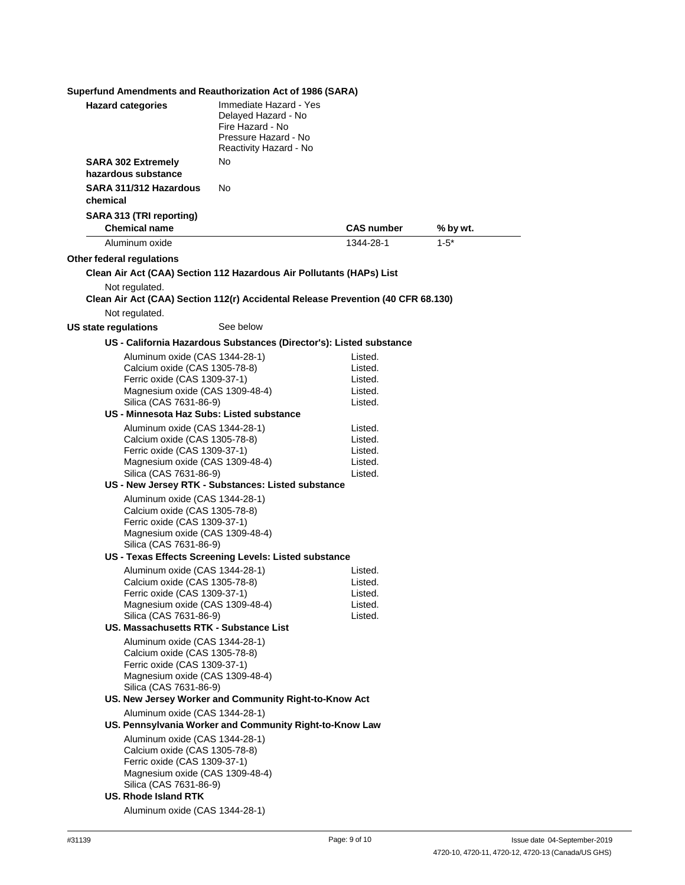| Superfund Amendments and Reauthorization Act of 1986 (SARA)   |                                                                                                                     |                    |           |
|---------------------------------------------------------------|---------------------------------------------------------------------------------------------------------------------|--------------------|-----------|
| <b>Hazard categories</b>                                      | Immediate Hazard - Yes<br>Delayed Hazard - No<br>Fire Hazard - No<br>Pressure Hazard - No<br>Reactivity Hazard - No |                    |           |
| <b>SARA 302 Extremely</b>                                     | No.                                                                                                                 |                    |           |
| hazardous substance                                           |                                                                                                                     |                    |           |
| SARA 311/312 Hazardous<br>chemical                            | No                                                                                                                  |                    |           |
| SARA 313 (TRI reporting)<br><b>Chemical name</b>              |                                                                                                                     | <b>CAS number</b>  | % by wt.  |
| Aluminum oxide                                                |                                                                                                                     | 1344-28-1          | $1 - 5^*$ |
| Other federal regulations                                     |                                                                                                                     |                    |           |
|                                                               | Clean Air Act (CAA) Section 112 Hazardous Air Pollutants (HAPs) List                                                |                    |           |
| Not regulated.                                                | Clean Air Act (CAA) Section 112(r) Accidental Release Prevention (40 CFR 68.130)                                    |                    |           |
| Not regulated.                                                |                                                                                                                     |                    |           |
| US state regulations                                          | See below                                                                                                           |                    |           |
|                                                               | US - California Hazardous Substances (Director's): Listed substance                                                 |                    |           |
| Aluminum oxide (CAS 1344-28-1)                                |                                                                                                                     | Listed.            |           |
| Calcium oxide (CAS 1305-78-8)                                 |                                                                                                                     | Listed.            |           |
| Ferric oxide (CAS 1309-37-1)                                  |                                                                                                                     | Listed.            |           |
| Magnesium oxide (CAS 1309-48-4)<br>Silica (CAS 7631-86-9)     |                                                                                                                     | Listed.<br>Listed. |           |
| US - Minnesota Haz Subs: Listed substance                     |                                                                                                                     |                    |           |
| Aluminum oxide (CAS 1344-28-1)                                |                                                                                                                     | Listed.            |           |
| Calcium oxide (CAS 1305-78-8)                                 |                                                                                                                     | Listed.            |           |
| Ferric oxide (CAS 1309-37-1)                                  |                                                                                                                     | Listed.            |           |
| Magnesium oxide (CAS 1309-48-4)                               |                                                                                                                     | Listed.            |           |
| Silica (CAS 7631-86-9)                                        |                                                                                                                     | Listed.            |           |
|                                                               | US - New Jersey RTK - Substances: Listed substance                                                                  |                    |           |
| Aluminum oxide (CAS 1344-28-1)                                |                                                                                                                     |                    |           |
| Calcium oxide (CAS 1305-78-8)                                 |                                                                                                                     |                    |           |
| Ferric oxide (CAS 1309-37-1)                                  |                                                                                                                     |                    |           |
| Magnesium oxide (CAS 1309-48-4)<br>Silica (CAS 7631-86-9)     |                                                                                                                     |                    |           |
|                                                               | US - Texas Effects Screening Levels: Listed substance                                                               |                    |           |
| Aluminum oxide (CAS 1344-28-1)                                |                                                                                                                     | Listed.            |           |
| Calcium oxide (CAS 1305-78-8)                                 |                                                                                                                     | Listed.            |           |
| Ferric oxide (CAS 1309-37-1)                                  |                                                                                                                     | Listed.            |           |
| Magnesium oxide (CAS 1309-48-4)                               |                                                                                                                     | Listed.            |           |
| Silica (CAS 7631-86-9)                                        |                                                                                                                     | Listed.            |           |
| US. Massachusetts RTK - Substance List                        |                                                                                                                     |                    |           |
| Aluminum oxide (CAS 1344-28-1)                                |                                                                                                                     |                    |           |
| Calcium oxide (CAS 1305-78-8)                                 |                                                                                                                     |                    |           |
| Ferric oxide (CAS 1309-37-1)                                  |                                                                                                                     |                    |           |
| Magnesium oxide (CAS 1309-48-4)<br>Silica (CAS 7631-86-9)     |                                                                                                                     |                    |           |
|                                                               | US. New Jersey Worker and Community Right-to-Know Act                                                               |                    |           |
| Aluminum oxide (CAS 1344-28-1)                                |                                                                                                                     |                    |           |
|                                                               | US. Pennsylvania Worker and Community Right-to-Know Law                                                             |                    |           |
| Aluminum oxide (CAS 1344-28-1)                                |                                                                                                                     |                    |           |
| Calcium oxide (CAS 1305-78-8)<br>Ferric oxide (CAS 1309-37-1) |                                                                                                                     |                    |           |
| Magnesium oxide (CAS 1309-48-4)                               |                                                                                                                     |                    |           |
| Silica (CAS 7631-86-9)                                        |                                                                                                                     |                    |           |
| <b>US. Rhode Island RTK</b>                                   |                                                                                                                     |                    |           |
| Aluminum oxide (CAS 1344-28-1)                                |                                                                                                                     |                    |           |